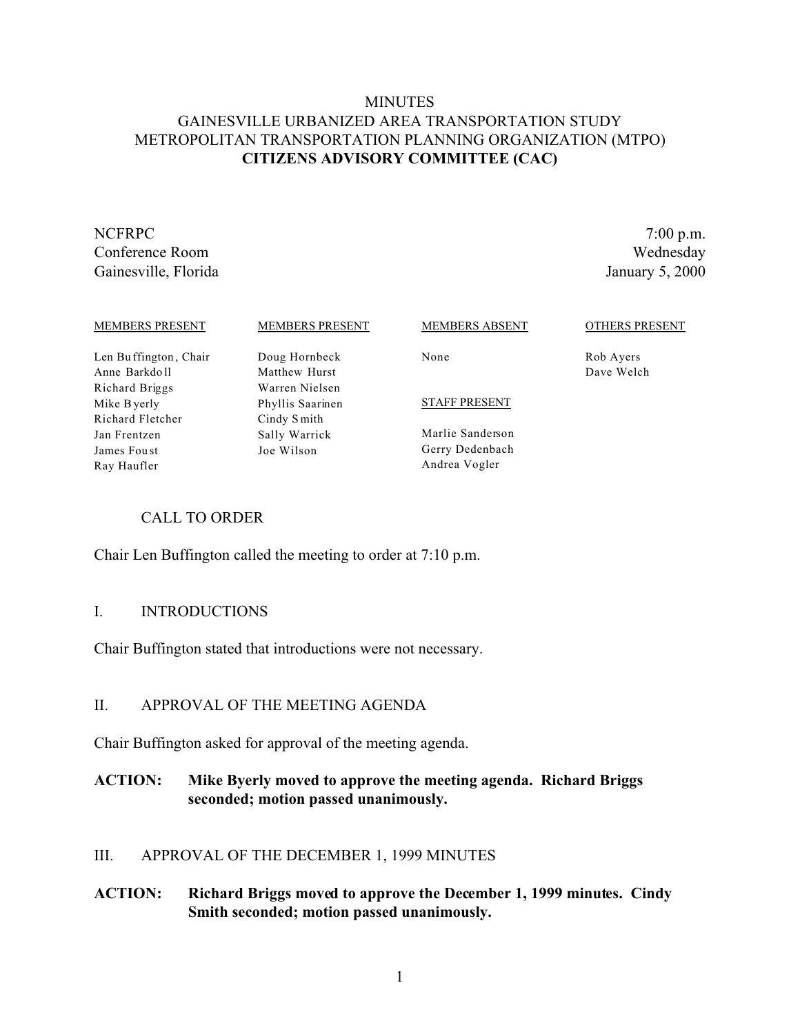## **MINUTES** GAINESVILLE URBANIZED AREA TRANSPORTATION STUDY METROPOLITAN TRANSPORTATION PLANNING ORGANIZATION (MTPO) **CITIZENS ADVISORY COMMITTEE (CAC)**

NCFRPC 7:00 p.m. Conference Room Wednesday Gainesville, Florida January 5, 2000

| <b>MEMBERS PRESENT</b> | <b>MEMBERS PRESENT</b> | MEMBERS ABSENT       | <b>OTHERS PRESENT</b> |
|------------------------|------------------------|----------------------|-----------------------|
| Len Buffington, Chair  | Doug Hornbeck          | None                 | Rob Ayers             |
| Anne Barkdoll          | Matthew Hurst          |                      | Dave Welch            |
| Richard Briggs         | Warren Nielsen         |                      |                       |
| Mike B yerly           | Phyllis Saarinen       | <b>STAFF PRESENT</b> |                       |
| Richard Fletcher       | Cindy Smith            |                      |                       |
| Jan Frentzen           | Sally Warrick          | Marlie Sanderson     |                       |
| James Foust            | Joe Wilson             | Gerry Dedenbach      |                       |
| Ray Haufler            |                        | Andrea Vogler        |                       |

### CALL TO ORDER

Chair Len Buffington called the meeting to order at 7:10 p.m.

#### I. INTRODUCTIONS

Chair Buffington stated that introductions were not necessary.

### II. APPROVAL OF THE MEETING AGENDA

Chair Buffington asked for approval of the meeting agenda.

## **ACTION: Mike Byerly moved to approve the meeting agenda. Richard Briggs seconded; motion passed unanimously.**

### III. APPROVAL OF THE DECEMBER 1, 1999 MINUTES

### **ACTION: Richard Briggs moved to approve the December 1, 1999 minutes. Cindy Smith seconded; motion passed unanimously.**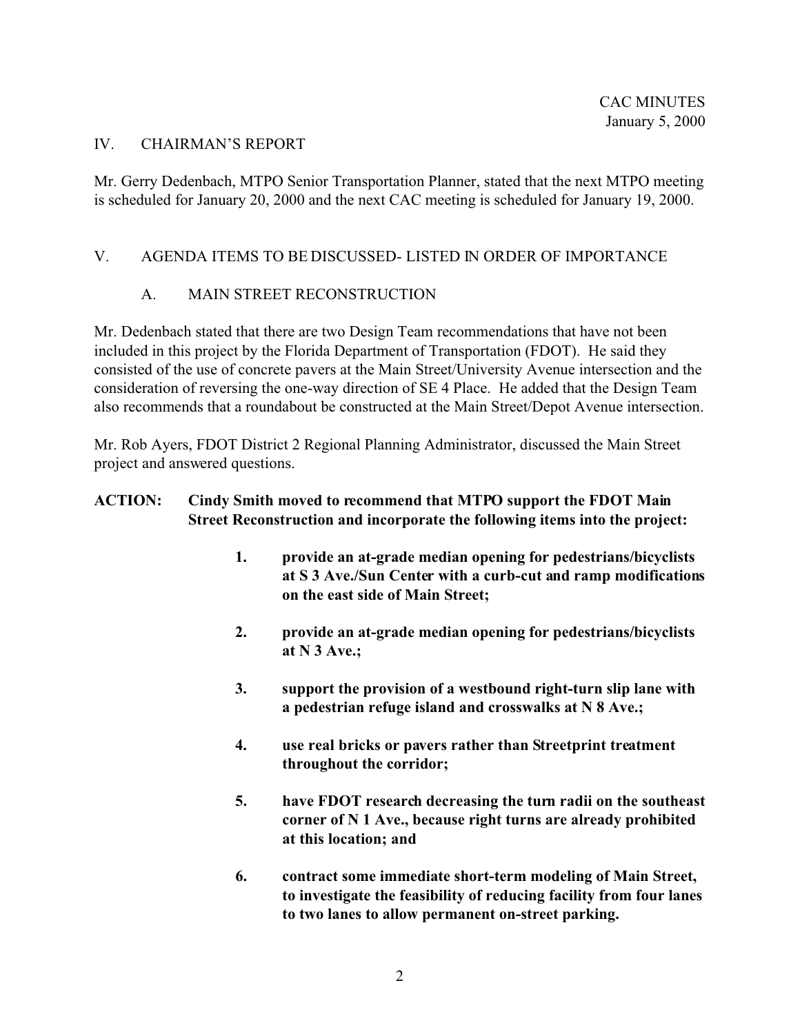### IV. CHAIRMAN'S REPORT

Mr. Gerry Dedenbach, MTPO Senior Transportation Planner, stated that the next MTPO meeting is scheduled for January 20, 2000 and the next CAC meeting is scheduled for January 19, 2000.

## V. AGENDA ITEMS TO BE DISCUSSED- LISTED IN ORDER OF IMPORTANCE

## A. MAIN STREET RECONSTRUCTION

Mr. Dedenbach stated that there are two Design Team recommendations that have not been included in this project by the Florida Department of Transportation (FDOT). He said they consisted of the use of concrete pavers at the Main Street/University Avenue intersection and the consideration of reversing the one-way direction of SE 4 Place. He added that the Design Team also recommends that a roundabout be constructed at the Main Street/Depot Avenue intersection.

Mr. Rob Ayers, FDOT District 2 Regional Planning Administrator, discussed the Main Street project and answered questions.

## **ACTION: Cindy Smith moved to recommend that MTPO support the FDOT Main Street Reconstruction and incorporate the following items into the project:**

- **1. provide an at-grade median opening for pedestrians/bicyclists at S 3 Ave./Sun Center with a curb-cut and ramp modifications on the east side of Main Street;**
- **2. provide an at-grade median opening for pedestrians/bicyclists at N 3 Ave.;**
- **3. support the provision of a westbound right-turn slip lane with a pedestrian refuge island and crosswalks at N 8 Ave.;**
- **4. use real bricks or pavers rather than Streetprint treatment throughout the corridor;**
- **5. have FDOT research decreasing the turn radii on the southeast corner of N 1 Ave., because right turns are already prohibited at this location; and**
- **6. contract some immediate short-term modeling of Main Street, to investigate the feasibility of reducing facility from four lanes to two lanes to allow permanent on-street parking.**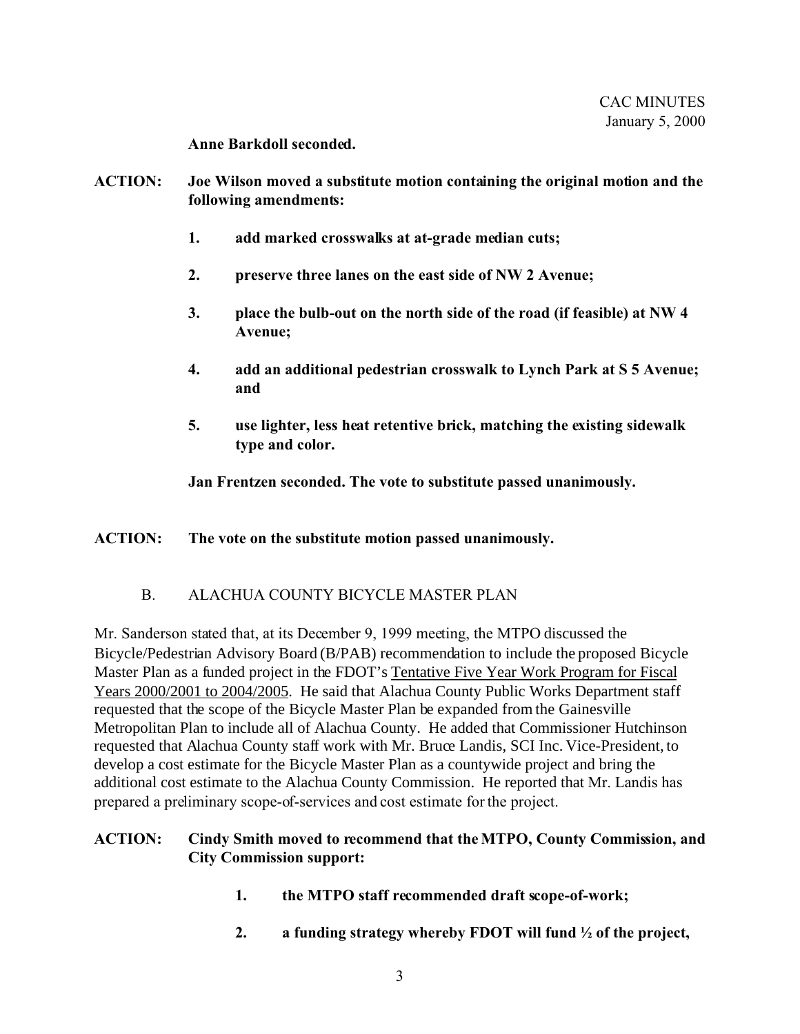**Anne Barkdoll seconded.**

- **ACTION: Joe Wilson moved a substitute motion containing the original motion and the following amendments:**
	- **1. add marked crosswalks at at-grade median cuts;**
	- **2. preserve three lanes on the east side of NW 2 Avenue;**
	- **3. place the bulb-out on the north side of the road (if feasible) at NW 4 Avenue;**
	- **4. add an additional pedestrian crosswalk to Lynch Park at S 5 Avenue; and**
	- **5. use lighter, less heat retentive brick, matching the existing sidewalk type and color.**

**Jan Frentzen seconded. The vote to substitute passed unanimously.** 

### **ACTION: The vote on the substitute motion passed unanimously.**

## B. ALACHUA COUNTY BICYCLE MASTER PLAN

Mr. Sanderson stated that, at its December 9, 1999 meeting, the MTPO discussed the Bicycle/Pedestrian Advisory Board (B/PAB) recommendation to include the proposed Bicycle Master Plan as a funded project in the FDOT's Tentative Five Year Work Program for Fiscal Years 2000/2001 to 2004/2005. He said that Alachua County Public Works Department staff requested that the scope of the Bicycle Master Plan be expanded from the Gainesville Metropolitan Plan to include all of Alachua County. He added that Commissioner Hutchinson requested that Alachua County staff work with Mr. Bruce Landis, SCI Inc. Vice-President, to develop a cost estimate for the Bicycle Master Plan as a countywide project and bring the additional cost estimate to the Alachua County Commission. He reported that Mr. Landis has prepared a preliminary scope-of-services and cost estimate for the project.

### **ACTION: Cindy Smith moved to recommend that the MTPO, County Commission, and City Commission support:**

- **1. the MTPO staff recommended draft scope-of-work;**
- **2. a funding strategy whereby FDOT will fund ½ of the project,**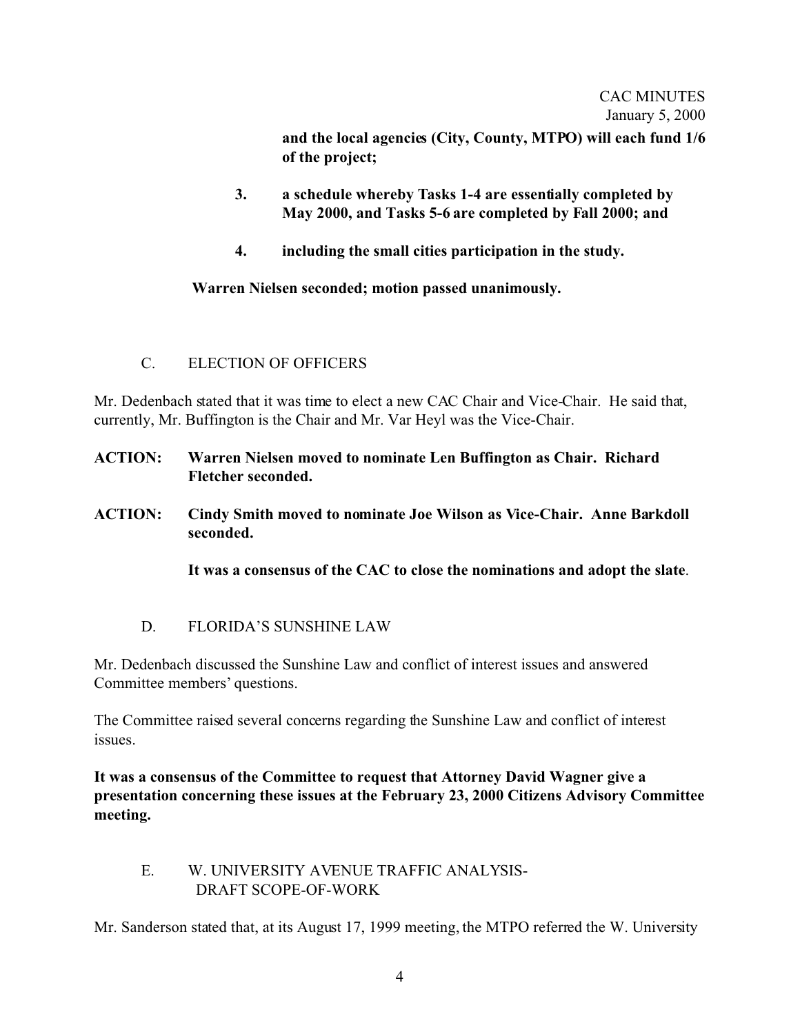and the local agencies (City, County, MTPO) will each fund  $1/6$ **of the project;**

- **3. a schedule whereby Tasks 1-4 are essentially completed by May 2000, and Tasks 5-6 are completed by Fall 2000; and**
- **4. including the small cities participation in the study.**

 **Warren Nielsen seconded; motion passed unanimously.**

C. ELECTION OF OFFICERS

Mr. Dedenbach stated that it was time to elect a new CAC Chair and Vice-Chair. He said that, currently, Mr. Buffington is the Chair and Mr. Var Heyl was the Vice-Chair.

- **ACTION: Warren Nielsen moved to nominate Len Buffington as Chair. Richard Fletcher seconded.**
- **ACTION: Cindy Smith moved to nominate Joe Wilson as Vice-Chair. Anne Barkdoll seconded.**

**It was a consensus of the CAC to close the nominations and adopt the slate**.

D. FLORIDA'S SUNSHINE LAW

Mr. Dedenbach discussed the Sunshine Law and conflict of interest issues and answered Committee members' questions.

The Committee raised several concerns regarding the Sunshine Law and conflict of interest issues.

**It was a consensus of the Committee to request that Attorney David Wagner give a presentation concerning these issues at the February 23, 2000 Citizens Advisory Committee meeting.**

E. W. UNIVERSITY AVENUE TRAFFIC ANALYSIS- DRAFT SCOPE-OF-WORK

Mr. Sanderson stated that, at its August 17, 1999 meeting, the MTPO referred the W. University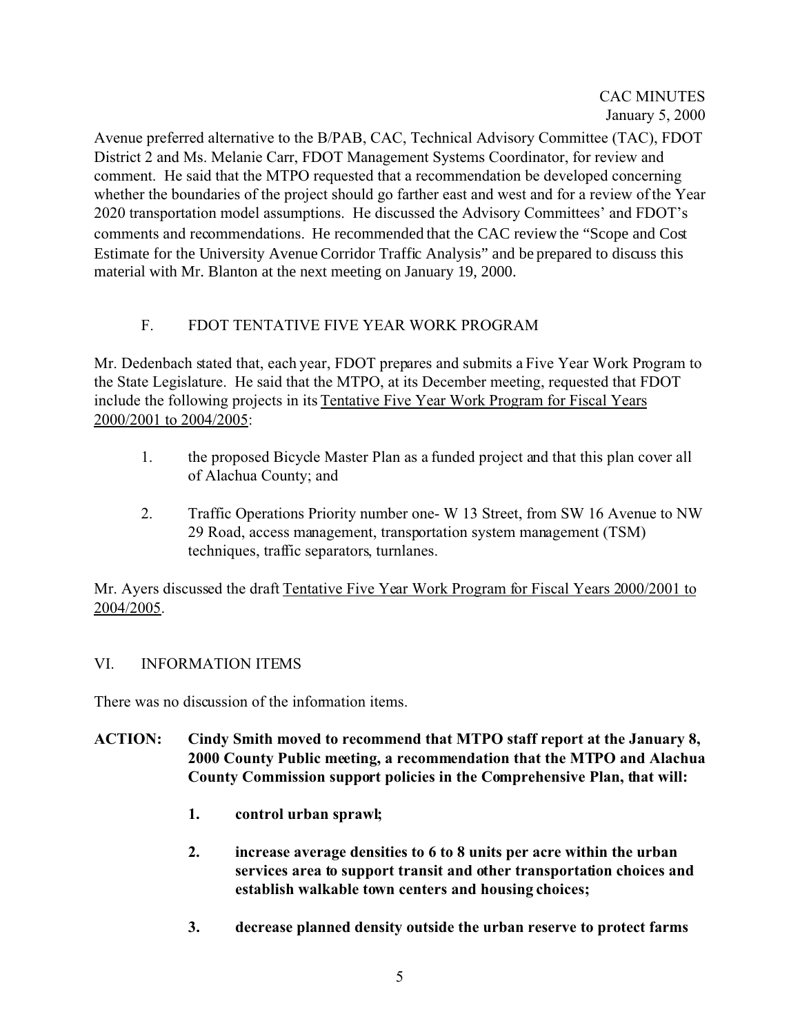Avenue preferred alternative to the B/PAB, CAC, Technical Advisory Committee (TAC), FDOT District 2 and Ms. Melanie Carr, FDOT Management Systems Coordinator, for review and comment. He said that the MTPO requested that a recommendation be developed concerning whether the boundaries of the project should go farther east and west and for a review of the Year 2020 transportation model assumptions. He discussed the Advisory Committees' and FDOT's comments and recommendations. He recommended that the CAC review the "Scope and Cost Estimate for the University Avenue Corridor Traffic Analysis" and be prepared to discuss this material with Mr. Blanton at the next meeting on January 19, 2000.

# F. FDOT TENTATIVE FIVE YEAR WORK PROGRAM

Mr. Dedenbach stated that, each year, FDOT prepares and submits a Five Year Work Program to the State Legislature. He said that the MTPO, at its December meeting, requested that FDOT include the following projects in its Tentative Five Year Work Program for Fiscal Years 2000/2001 to 2004/2005:

- 1. the proposed Bicycle Master Plan as a funded project and that this plan cover all of Alachua County; and
- 2. Traffic Operations Priority number one- W 13 Street, from SW 16 Avenue to NW 29 Road, access management, transportation system management (TSM) techniques, traffic separators, turnlanes.

Mr. Ayers discussed the draft Tentative Five Year Work Program for Fiscal Years 2000/2001 to 2004/2005.

# VI. INFORMATION ITEMS

There was no discussion of the information items.

- **ACTION: Cindy Smith moved to recommend that MTPO staff report at the January 8, 2000 County Public meeting, a recommendation that the MTPO and Alachua County Commission support policies in the Comprehensive Plan, that will:**
	- **1. control urban sprawl;**
	- **2. increase average densities to 6 to 8 units per acre within the urban services area to support transit and other transportation choices and establish walkable town centers and housing choices;**
	- **3. decrease planned density outside the urban reserve to protect farms**